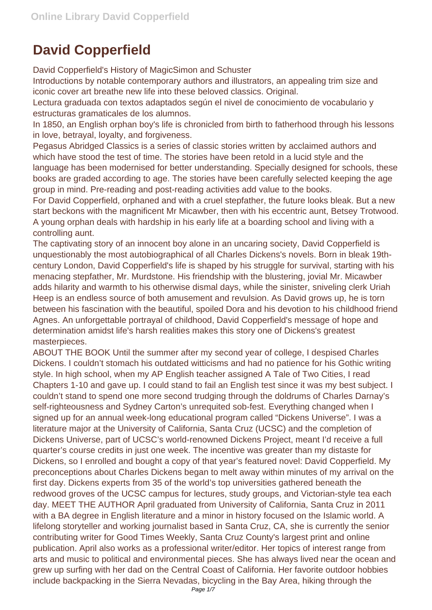## **David Copperfield**

David Copperfield's History of MagicSimon and Schuster

Introductions by notable contemporary authors and illustrators, an appealing trim size and iconic cover art breathe new life into these beloved classics. Original.

Lectura graduada con textos adaptados según el nivel de conocimiento de vocabulario y estructuras gramaticales de los alumnos.

In 1850, an English orphan boy's life is chronicled from birth to fatherhood through his lessons in love, betrayal, loyalty, and forgiveness.

Pegasus Abridged Classics is a series of classic stories written by acclaimed authors and which have stood the test of time. The stories have been retold in a lucid style and the language has been modernised for better understanding. Specially designed for schools, these books are graded according to age. The stories have been carefully selected keeping the age group in mind. Pre-reading and post-reading activities add value to the books.

For David Copperfield, orphaned and with a cruel stepfather, the future looks bleak. But a new start beckons with the magnificent Mr Micawber, then with his eccentric aunt, Betsey Trotwood. A young orphan deals with hardship in his early life at a boarding school and living with a controlling aunt.

The captivating story of an innocent boy alone in an uncaring society, David Copperfield is unquestionably the most autobiographical of all Charles Dickens's novels. Born in bleak 19thcentury London, David Copperfield's life is shaped by his struggle for survival, starting with his menacing stepfather, Mr. Murdstone. His friendship with the blustering, jovial Mr. Micawber adds hilarity and warmth to his otherwise dismal days, while the sinister, sniveling clerk Uriah Heep is an endless source of both amusement and revulsion. As David grows up, he is torn between his fascination with the beautiful, spoiled Dora and his devotion to his childhood friend Agnes. An unforgettable portrayal of childhood, David Copperfield's message of hope and determination amidst life's harsh realities makes this story one of Dickens's greatest masterpieces.

ABOUT THE BOOK Until the summer after my second year of college, I despised Charles Dickens. I couldn't stomach his outdated witticisms and had no patience for his Gothic writing style. In high school, when my AP English teacher assigned A Tale of Two Cities, I read Chapters 1-10 and gave up. I could stand to fail an English test since it was my best subject. I couldn't stand to spend one more second trudging through the doldrums of Charles Darnay's self-righteousness and Sydney Carton's unrequited sob-fest. Everything changed when I signed up for an annual week-long educational program called "Dickens Universe". I was a literature major at the University of California, Santa Cruz (UCSC) and the completion of Dickens Universe, part of UCSC's world-renowned Dickens Project, meant I'd receive a full quarter's course credits in just one week. The incentive was greater than my distaste for Dickens, so I enrolled and bought a copy of that year's featured novel: David Copperfield. My preconceptions about Charles Dickens began to melt away within minutes of my arrival on the first day. Dickens experts from 35 of the world's top universities gathered beneath the redwood groves of the UCSC campus for lectures, study groups, and Victorian-style tea each day. MEET THE AUTHOR April graduated from University of California, Santa Cruz in 2011 with a BA degree in English literature and a minor in history focused on the Islamic world. A lifelong storyteller and working journalist based in Santa Cruz, CA, she is currently the senior contributing writer for Good Times Weekly, Santa Cruz County's largest print and online publication. April also works as a professional writer/editor. Her topics of interest range from arts and music to political and environmental pieces. She has always lived near the ocean and grew up surfing with her dad on the Central Coast of California. Her favorite outdoor hobbies include backpacking in the Sierra Nevadas, bicycling in the Bay Area, hiking through the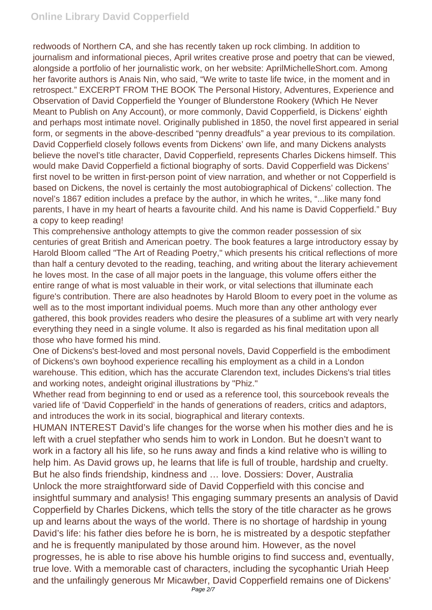redwoods of Northern CA, and she has recently taken up rock climbing. In addition to journalism and informational pieces, April writes creative prose and poetry that can be viewed, alongside a portfolio of her journalistic work, on her website: AprilMichelleShort.com. Among her favorite authors is Anais Nin, who said, "We write to taste life twice, in the moment and in retrospect." EXCERPT FROM THE BOOK The Personal History, Adventures, Experience and Observation of David Copperfield the Younger of Blunderstone Rookery (Which He Never Meant to Publish on Any Account), or more commonly, David Copperfield, is Dickens' eighth and perhaps most intimate novel. Originally published in 1850, the novel first appeared in serial form, or segments in the above-described "penny dreadfuls" a year previous to its compilation. David Copperfield closely follows events from Dickens' own life, and many Dickens analysts believe the novel's title character, David Copperfield, represents Charles Dickens himself. This would make David Copperfield a fictional biography of sorts. David Copperfield was Dickens' first novel to be written in first-person point of view narration, and whether or not Copperfield is based on Dickens, the novel is certainly the most autobiographical of Dickens' collection. The novel's 1867 edition includes a preface by the author, in which he writes, "...like many fond parents, I have in my heart of hearts a favourite child. And his name is David Copperfield." Buy a copy to keep reading!

This comprehensive anthology attempts to give the common reader possession of six centuries of great British and American poetry. The book features a large introductory essay by Harold Bloom called "The Art of Reading Poetry," which presents his critical reflections of more than half a century devoted to the reading, teaching, and writing about the literary achievement he loves most. In the case of all major poets in the language, this volume offers either the entire range of what is most valuable in their work, or vital selections that illuminate each figure's contribution. There are also headnotes by Harold Bloom to every poet in the volume as well as to the most important individual poems. Much more than any other anthology ever gathered, this book provides readers who desire the pleasures of a sublime art with very nearly everything they need in a single volume. It also is regarded as his final meditation upon all those who have formed his mind.

One of Dickens's best-loved and most personal novels, David Copperfield is the embodiment of Dickens's own boyhood experience recalling his employment as a child in a London warehouse. This edition, which has the accurate Clarendon text, includes Dickens's trial titles and working notes, andeight original illustrations by "Phiz."

Whether read from beginning to end or used as a reference tool, this sourcebook reveals the varied life of 'David Copperfield' in the hands of generations of readers, critics and adaptors, and introduces the work in its social, biographical and literary contexts.

HUMAN INTEREST David's life changes for the worse when his mother dies and he is left with a cruel stepfather who sends him to work in London. But he doesn't want to work in a factory all his life, so he runs away and finds a kind relative who is willing to help him. As David grows up, he learns that life is full of trouble, hardship and cruelty. But he also finds friendship, kindness and … love. Dossiers: Dover, Australia Unlock the more straightforward side of David Copperfield with this concise and insightful summary and analysis! This engaging summary presents an analysis of David Copperfield by Charles Dickens, which tells the story of the title character as he grows up and learns about the ways of the world. There is no shortage of hardship in young David's life: his father dies before he is born, he is mistreated by a despotic stepfather and he is frequently manipulated by those around him. However, as the novel progresses, he is able to rise above his humble origins to find success and, eventually, true love. With a memorable cast of characters, including the sycophantic Uriah Heep and the unfailingly generous Mr Micawber, David Copperfield remains one of Dickens'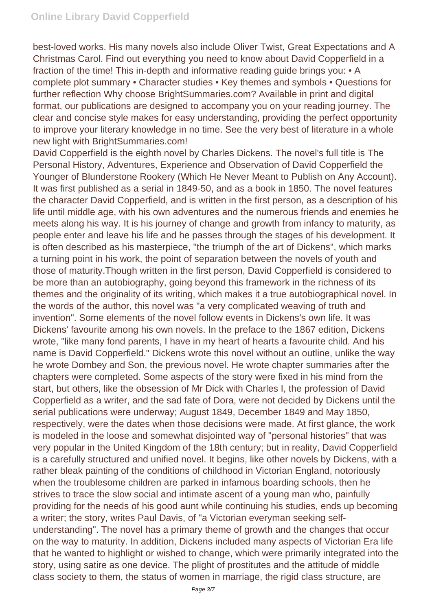best-loved works. His many novels also include Oliver Twist, Great Expectations and A Christmas Carol. Find out everything you need to know about David Copperfield in a fraction of the time! This in-depth and informative reading guide brings you: • A complete plot summary • Character studies • Key themes and symbols • Questions for further reflection Why choose BrightSummaries.com? Available in print and digital format, our publications are designed to accompany you on your reading journey. The clear and concise style makes for easy understanding, providing the perfect opportunity to improve your literary knowledge in no time. See the very best of literature in a whole new light with BrightSummaries.com!

David Copperfield is the eighth novel by Charles Dickens. The novel's full title is The Personal History, Adventures, Experience and Observation of David Copperfield the Younger of Blunderstone Rookery (Which He Never Meant to Publish on Any Account). It was first published as a serial in 1849-50, and as a book in 1850. The novel features the character David Copperfield, and is written in the first person, as a description of his life until middle age, with his own adventures and the numerous friends and enemies he meets along his way. It is his journey of change and growth from infancy to maturity, as people enter and leave his life and he passes through the stages of his development. It is often described as his masterpiece, "the triumph of the art of Dickens", which marks a turning point in his work, the point of separation between the novels of youth and those of maturity.Though written in the first person, David Copperfield is considered to be more than an autobiography, going beyond this framework in the richness of its themes and the originality of its writing, which makes it a true autobiographical novel. In the words of the author, this novel was "a very complicated weaving of truth and invention". Some elements of the novel follow events in Dickens's own life. It was Dickens' favourite among his own novels. In the preface to the 1867 edition, Dickens wrote, "like many fond parents, I have in my heart of hearts a favourite child. And his name is David Copperfield." Dickens wrote this novel without an outline, unlike the way he wrote Dombey and Son, the previous novel. He wrote chapter summaries after the chapters were completed. Some aspects of the story were fixed in his mind from the start, but others, like the obsession of Mr Dick with Charles I, the profession of David Copperfield as a writer, and the sad fate of Dora, were not decided by Dickens until the serial publications were underway; August 1849, December 1849 and May 1850, respectively, were the dates when those decisions were made. At first glance, the work is modeled in the loose and somewhat disjointed way of "personal histories" that was very popular in the United Kingdom of the 18th century; but in reality, David Copperfield is a carefully structured and unified novel. It begins, like other novels by Dickens, with a rather bleak painting of the conditions of childhood in Victorian England, notoriously when the troublesome children are parked in infamous boarding schools, then he strives to trace the slow social and intimate ascent of a young man who, painfully providing for the needs of his good aunt while continuing his studies, ends up becoming a writer; the story, writes Paul Davis, of "a Victorian everyman seeking selfunderstanding". The novel has a primary theme of growth and the changes that occur on the way to maturity. In addition, Dickens included many aspects of Victorian Era life that he wanted to highlight or wished to change, which were primarily integrated into the story, using satire as one device. The plight of prostitutes and the attitude of middle class society to them, the status of women in marriage, the rigid class structure, are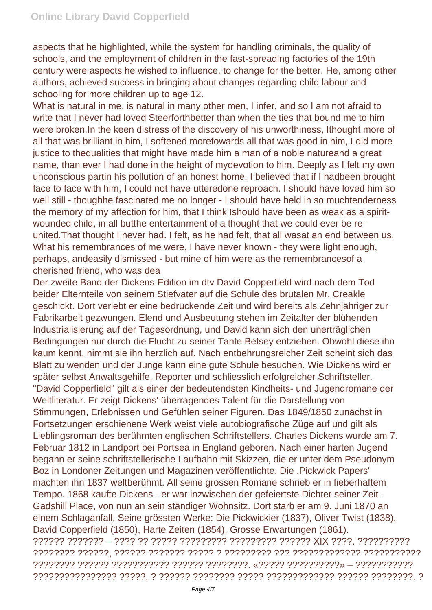aspects that he highlighted, while the system for handling criminals, the quality of schools, and the employment of children in the fast-spreading factories of the 19th century were aspects he wished to influence, to change for the better. He, among other authors, achieved success in bringing about changes regarding child labour and schooling for more children up to age 12.

What is natural in me, is natural in many other men, I infer, and so I am not afraid to write that I never had loved Steerforthbetter than when the ties that bound me to him were broken.In the keen distress of the discovery of his unworthiness, Ithought more of all that was brilliant in him, I softened moretowards all that was good in him, I did more justice to thequalities that might have made him a man of a noble natureand a great name, than ever I had done in the height of mydevotion to him. Deeply as I felt my own unconscious partin his pollution of an honest home, I believed that if I hadbeen brought face to face with him, I could not have utteredone reproach. I should have loved him so well still - thoughhe fascinated me no longer - I should have held in so muchtenderness the memory of my affection for him, that I think Ishould have been as weak as a spiritwounded child, in all butthe entertainment of a thought that we could ever be reunited.That thought I never had. I felt, as he had felt, that all wasat an end between us. What his remembrances of me were, I have never known - they were light enough, perhaps, andeasily dismissed - but mine of him were as the remembrancesof a cherished friend, who was dea

Der zweite Band der Dickens-Edition im dtv David Copperfield wird nach dem Tod beider Elternteile von seinem Stiefvater auf die Schule des brutalen Mr. Creakle geschickt. Dort verlebt er eine bedrückende Zeit und wird bereits als Zehnjähriger zur Fabrikarbeit gezwungen. Elend und Ausbeutung stehen im Zeitalter der blühenden Industrialisierung auf der Tagesordnung, und David kann sich den unerträglichen Bedingungen nur durch die Flucht zu seiner Tante Betsey entziehen. Obwohl diese ihn kaum kennt, nimmt sie ihn herzlich auf. Nach entbehrungsreicher Zeit scheint sich das Blatt zu wenden und der Junge kann eine gute Schule besuchen. Wie Dickens wird er später selbst Anwaltsgehilfe, Reporter und schliesslich erfolgreicher Schriftsteller. "David Copperfield" gilt als einer der bedeutendsten Kindheits- und Jugendromane der Weltliteratur. Er zeigt Dickens' überragendes Talent für die Darstellung von Stimmungen, Erlebnissen und Gefühlen seiner Figuren. Das 1849/1850 zunächst in Fortsetzungen erschienene Werk weist viele autobiografische Züge auf und gilt als Lieblingsroman des berühmten englischen Schriftstellers. Charles Dickens wurde am 7. Februar 1812 in Landport bei Portsea in England geboren. Nach einer harten Jugend begann er seine schriftstellerische Laufbahn mit Skizzen, die er unter dem Pseudonym Boz in Londoner Zeitungen und Magazinen veröffentlichte. Die .Pickwick Papers' machten ihn 1837 weltberühmt. All seine grossen Romane schrieb er in fieberhaftem Tempo. 1868 kaufte Dickens - er war inzwischen der gefeiertste Dichter seiner Zeit - Gadshill Place, von nun an sein ständiger Wohnsitz. Dort starb er am 9. Juni 1870 an einem Schlaganfall. Seine grössten Werke: Die Pickwickier (1837), Oliver Twist (1838), David Copperfield (1850), Harte Zeiten (1854), Grosse Erwartungen (1861). ?????? ??????? – ???? ?? ????? ????????? ????????? ?????? XIX ????. ?????????? ???????? ??????, ?????? ??????? ????? ? ????????? ??? ????????????? ??????????? ???????? ?????? ??????????? ?????? ????????. «????? ??????????» – ??????????? ???????????????? ?????, ? ?????? ???????? ????? ????????????? ?????? ????????. ?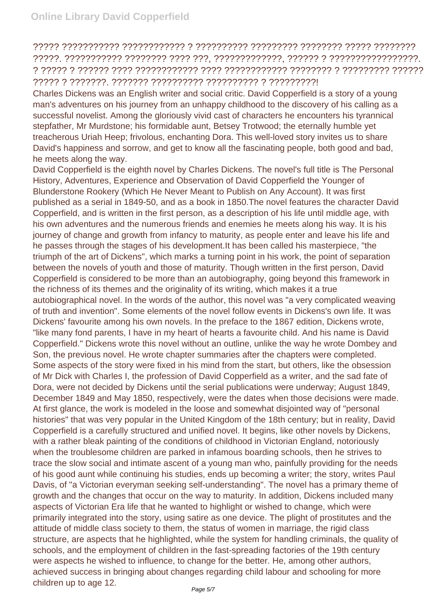## ????? ??????????? ???????????? ? ?????????? ????????? ???????? ????? ???????? ?????. ??????????? ???????? ???? ???, ?????????????, ?????? ? ?????????????????. ? ????? ? ?????? ???? ???????????? ???? ???????????? ???????? ? ????????? ?????? ????? ? ???????. ??????? ?????????? ?????????? ? ?????????!

Charles Dickens was an English writer and social critic. David Copperfield is a story of a young man's adventures on his journey from an unhappy childhood to the discovery of his calling as a successful novelist. Among the gloriously vivid cast of characters he encounters his tyrannical stepfather, Mr Murdstone; his formidable aunt, Betsey Trotwood; the eternally humble yet treacherous Uriah Heep; frivolous, enchanting Dora. This well-loved story invites us to share David's happiness and sorrow, and get to know all the fascinating people, both good and bad, he meets along the way.

David Copperfield is the eighth novel by Charles Dickens. The novel's full title is The Personal History, Adventures, Experience and Observation of David Copperfield the Younger of Blunderstone Rookery (Which He Never Meant to Publish on Any Account). It was first published as a serial in 1849-50, and as a book in 1850.The novel features the character David Copperfield, and is written in the first person, as a description of his life until middle age, with his own adventures and the numerous friends and enemies he meets along his way. It is his journey of change and growth from infancy to maturity, as people enter and leave his life and he passes through the stages of his development.It has been called his masterpiece, "the triumph of the art of Dickens", which marks a turning point in his work, the point of separation between the novels of youth and those of maturity. Though written in the first person, David Copperfield is considered to be more than an autobiography, going beyond this framework in the richness of its themes and the originality of its writing, which makes it a true autobiographical novel. In the words of the author, this novel was "a very complicated weaving of truth and invention". Some elements of the novel follow events in Dickens's own life. It was Dickens' favourite among his own novels. In the preface to the 1867 edition, Dickens wrote, "like many fond parents, I have in my heart of hearts a favourite child. And his name is David Copperfield." Dickens wrote this novel without an outline, unlike the way he wrote Dombey and Son, the previous novel. He wrote chapter summaries after the chapters were completed. Some aspects of the story were fixed in his mind from the start, but others, like the obsession of Mr Dick with Charles I, the profession of David Copperfield as a writer, and the sad fate of Dora, were not decided by Dickens until the serial publications were underway; August 1849, December 1849 and May 1850, respectively, were the dates when those decisions were made. At first glance, the work is modeled in the loose and somewhat disjointed way of "personal histories" that was very popular in the United Kingdom of the 18th century; but in reality, David Copperfield is a carefully structured and unified novel. It begins, like other novels by Dickens, with a rather bleak painting of the conditions of childhood in Victorian England, notoriously when the troublesome children are parked in infamous boarding schools, then he strives to trace the slow social and intimate ascent of a young man who, painfully providing for the needs of his good aunt while continuing his studies, ends up becoming a writer; the story, writes Paul Davis, of "a Victorian everyman seeking self-understanding". The novel has a primary theme of growth and the changes that occur on the way to maturity. In addition, Dickens included many aspects of Victorian Era life that he wanted to highlight or wished to change, which were primarily integrated into the story, using satire as one device. The plight of prostitutes and the attitude of middle class society to them, the status of women in marriage, the rigid class structure, are aspects that he highlighted, while the system for handling criminals, the quality of schools, and the employment of children in the fast-spreading factories of the 19th century were aspects he wished to influence, to change for the better. He, among other authors, achieved success in bringing about changes regarding child labour and schooling for more children up to age 12.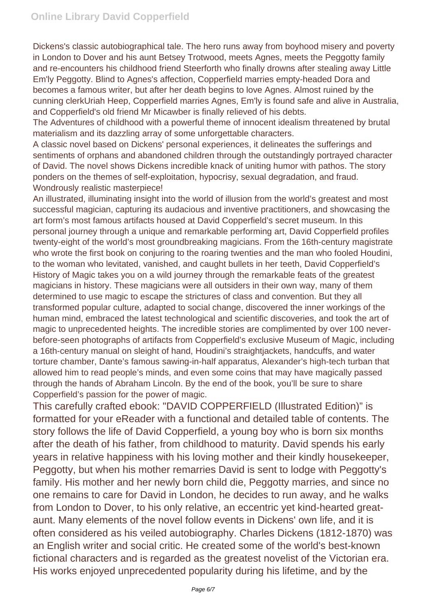Dickens's classic autobiographical tale. The hero runs away from boyhood misery and poverty in London to Dover and his aunt Betsey Trotwood, meets Agnes, meets the Peggotty family and re-encounters his childhood friend Steerforth who finally drowns after stealing away Little Em'ly Peggotty. Blind to Agnes's affection, Copperfield marries empty-headed Dora and becomes a famous writer, but after her death begins to love Agnes. Almost ruined by the cunning clerkUriah Heep, Copperfield marries Agnes, Em'ly is found safe and alive in Australia, and Copperfield's old friend Mr Micawber is finally relieved of his debts.

The Adventures of childhood with a powerful theme of innocent idealism threatened by brutal materialism and its dazzling array of some unforgettable characters.

A classic novel based on Dickens' personal experiences, it delineates the sufferings and sentiments of orphans and abandoned children through the outstandingly portrayed character of David. The novel shows Dickens incredible knack of uniting humor with pathos. The story ponders on the themes of self-exploitation, hypocrisy, sexual degradation, and fraud. Wondrously realistic masterpiece!

An illustrated, illuminating insight into the world of illusion from the world's greatest and most successful magician, capturing its audacious and inventive practitioners, and showcasing the art form's most famous artifacts housed at David Copperfield's secret museum. In this personal journey through a unique and remarkable performing art, David Copperfield profiles twenty-eight of the world's most groundbreaking magicians. From the 16th-century magistrate who wrote the first book on conjuring to the roaring twenties and the man who fooled Houdini, to the woman who levitated, vanished, and caught bullets in her teeth, David Copperfield's History of Magic takes you on a wild journey through the remarkable feats of the greatest magicians in history. These magicians were all outsiders in their own way, many of them determined to use magic to escape the strictures of class and convention. But they all transformed popular culture, adapted to social change, discovered the inner workings of the human mind, embraced the latest technological and scientific discoveries, and took the art of magic to unprecedented heights. The incredible stories are complimented by over 100 neverbefore-seen photographs of artifacts from Copperfield's exclusive Museum of Magic, including a 16th-century manual on sleight of hand, Houdini's straightjackets, handcuffs, and water torture chamber, Dante's famous sawing-in-half apparatus, Alexander's high-tech turban that allowed him to read people's minds, and even some coins that may have magically passed through the hands of Abraham Lincoln. By the end of the book, you'll be sure to share Copperfield's passion for the power of magic.

This carefully crafted ebook: "DAVID COPPERFIELD (Illustrated Edition)" is formatted for your eReader with a functional and detailed table of contents. The story follows the life of David Copperfield, a young boy who is born six months after the death of his father, from childhood to maturity. David spends his early years in relative happiness with his loving mother and their kindly housekeeper, Peggotty, but when his mother remarries David is sent to lodge with Peggotty's family. His mother and her newly born child die, Peggotty marries, and since no one remains to care for David in London, he decides to run away, and he walks from London to Dover, to his only relative, an eccentric yet kind-hearted greataunt. Many elements of the novel follow events in Dickens' own life, and it is often considered as his veiled autobiography. Charles Dickens (1812-1870) was an English writer and social critic. He created some of the world's best-known fictional characters and is regarded as the greatest novelist of the Victorian era. His works enjoyed unprecedented popularity during his lifetime, and by the